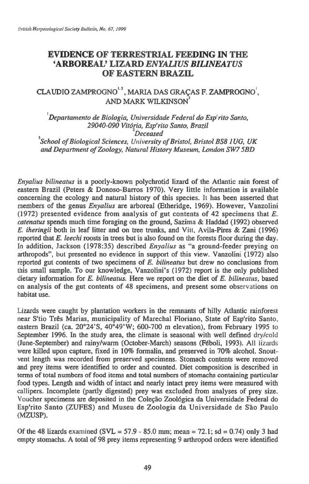### **EVIDENCE OF TERRESTRIAL FEEDING IN THE `ARBOREAL' LIZARD** *ENYALIUS BILINEATUS*  **OF EASTERN BRAZIL**

# **CLAUDIO ZAMPROGNO", MARIA DAS GRAcAS F. ZAMPROGNO', AND MARK WILKINSON3**

*Departamento de Biologia, Universidade Federal do Esp'rito Santo, 29040-090 VitOria, Esp'rito Santo, Brazil Deceased* 

*<sup>3</sup>School of Biological Sciences, University of Bristol, Bristol BS8 JUG, UK and Department of Zoology, Natural History Museum, London SW7 5BD* 

*Enyalius bilineatus is* **a poorly-known polychrotid lizard of the Atlantic rain forest of eastern Brazil (Peters & Donoso-Barros 1970). Very little information is available concerning the ecology and natural history of this species.** It **has been asserted that members of the genus** *Enyalius* **are arboreal (Etheridge, 1969). However, Vanzolini (1972) presented evidence from analysis of gut contents of 42 specimens that** *E. catenates* **spends much time foraging on the ground, Sazima & Haddad (1992) observed**  *E. iheringii* **both in leaf litter and on tree trunks, and Vitt, Avila-Pires & Zani (1996) reported that** *E. leechi* **roosts in trees but is also found on the forests floor during the day. In addition, Jackson (1978:35) described** *Enyalius as* **"a ground-feeder preying on arthropods", but presented no evidence in support of this view. Vanzolini (1972) also reported gut contents of two specimens of** *E. bilineatus* **but drew no conclusions from this small sample. To our knowledge, Vanzolini's (1972) report is the only published dietary information for** *E. bilineatus.* **Here we report on the diet of** *E. bilineatus,* **based on analysis of the gut contents of 48 specimens, and present some observations on habitat use.** 

**Lizards were caught by plantation workers in the remnants of hilly Atlantic rainforest near S'tio Tres Marias, municipality of Marechal Floriano, State of Esp'rito Santo, eastern Brazil (ca. 20°24'S, 40°49'W; 600-700 m elevation), from February 1995 to September 1996. In the study area, the climate is seasonal with well defined** dry/cold **(June-September) and rainy/warm (October-March) seasons (Feboli, 1993). All** lizards **were killed upon capture, fixed in 10% formalin, and preserved in 70% alcohol. Snoutvent length was recorded from preserved specimens. Stomach contents were removed and prey items were identified to order and counted. Diet composition is described in terms of total numbers of food items and total numbers of stomachs containing particular food types. Length and width of intact and nearly intact prey items were measured with callipers. Incomplete (partly digested) prey was excluded from analyses of prey size. Voucher specimens are deposited in the Colecao Zoologica da Universidade Federal do**  Esp'rito Santo (ZUFES) and Museu de Zoologia da Universidade de São Paulo **(MZUSP).** 

**Of the 48 lizards examined (SVL = 57.9 - 85.0 mm; mean = 72.1; sd = 0.74) only 3 had empty stomachs. A total of 98 prey items representing 9 arthropod orders were identified**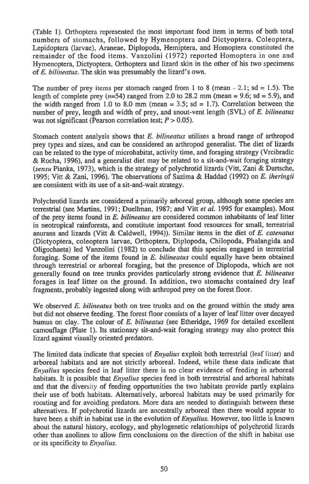(Table 1). Orthoptera represented the most important food item in terms of both total numbers of stomachs, followed by Hymenoptera and Dictyoptera. Coleoptera, Lepidoptera (larvae), Araneae, Diplopoda, Hemiptera, and Homoptera constituted the remainder of the food items. Vanzolini (1972) reported Homoptera in one and Hymenoptera, Dictyoptera, Orthoptera and lizard skin in the other of his two specimens of *E. bilineatus.* The skin was presumably the lizard's own.

The number of prey items per stomach ranged from 1 to 8 (mean - 2.1; sd = 1.5). The length of complete prey  $(n=54)$  ranged from 2.0 to 28.2 mm (mean = 9.6; sd = 5.9), and the width ranged from 1.0 to 8.0 mm (mean  $= 3.5$ ; sd  $= 1.7$ ). Correlation between the number of prey, length and width of prey, and snout-vent length (SVL) of *E. bilineatus*  was not significant (Pearson correlation test;  $P > 0.05$ ).

Stomach content analysis shows that *E. bilineatus* utilises a broad range of arthropod prey types and sizes, and can be considered an arthropod generalist. The diet of lizards can be related to the type of microhabitat, activity time, and foraging strategy (Vrcibradic & Rocha, 1996), and a generalist diet may be related to a sit-and-wait foraging strategy *(sensu* Pianka, 1973), which is the strategy of polychrotid lizards (Vitt, Zani & Durtsche, 1995; Vitt & Zani, 1996). The observations of Sazima & Haddad (1992) on *E. iheringii*  are consistent with its use of a sit-and-wait strategy.

Polychrotid lizards are considered a primarily arboreal group, although some species are terrestrial (see Martins, 1991; Duellman, 1987; and Vitt *et al.* 1995 for examples). Most of the prey items found in *E. bilineatus* are considered common inhabitants of leaf litter in neotropical rainforests, and constitute important food resources for small, terrestrial anurans and lizards (Vitt & Caldwell, 1994)). Similar items in the diet of *E. catenatus*  (Dictyoptera, coleoptera larvae, Orthoptera, Diplopoda, Chilopoda, Phalangida and Oligochaeta) led Vanzolini (1982) to conclude that this species engaged in terrestrial foraging. Some of the items found in *E. bilineatus* could equally have been obtained through terrestrial or arboreal foraging, but the presence of Diplopoda, which are not generally found on tree trunks provides particularly strong evidence that *E. bilineatus*  forages in leaf litter on the ground. In addition, two stomachs contained dry leaf fragments, probably ingested along with arthropod prey on the forest floor.

We observed *E. bilineatus* both on tree trunks and on the ground within the study area but did not observe feeding. The forest floor consists of a layer of leaf litter over decayed humus on clay. The colour of *E. bilineatus* (see Etheridge, 1969 for detailed excellent camouflage (Plate 1). Its stationary sit-and-wait foraging strategy may also protect this lizard against visually oriented predators.

The limited data indicate that species of *Enyalius* exploit both terrestrial (leaf litter) and arboreal habitats and are not strictly arboreal. Indeed, while these data indicate that *Enyalius* species feed in leaf litter there is no clear evidence of feeding in arboreal habitats. It is possible that *Enyalius* species feed in both terrestrial and arboreal habitats and that the diversity of feeding opportunities the two habitats provide partly explains their use of both habitats. Alternatively, arboreal habitats may be used primarily for roosting and for avoiding predators. More data are needed to distinguish between these alternatives. If polychrotid lizards are ancestrally arboreal then there would appear to have been a shift in habitat use in the evolution of *Enyalius.* However, too little is known about the natural history, ecology, and phylogenetic relationships of polychrotid lizards other than anolines to allow firm conclusions on the direction of the shift in habitat use or its specificity to *Enyalius.*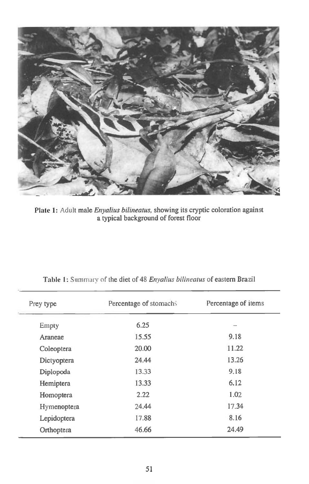

**Plate 1:** Adult *male Enyalius bilineatus,* **showing its cryptic coloration against a typical background of forest floor** 

| Prey type   | Percentage of stomachs | Percentage of items |
|-------------|------------------------|---------------------|
| Empty       | 6.25                   |                     |
| Araneae     | 15.55                  | 9.18                |
| Coleoptera  | 20.00                  | 11.22               |
| Dictyoptera | 24.44                  | 13.26               |
| Diplopoda   | 13.33                  | 9.18                |
| Hemiptera   | 13.33                  | 6.12                |
| Homoptera   | 2.22                   | 1.02                |
| Hymenoptera | 24.44                  | 17.34               |
| Lepidoptera | 17.88                  | 8.16                |
| Orthoptera  | 46.66                  | 24.49               |

# **Table 1:** Summary of **the diet** of 48 *Enyalius bilineatus* **of eastern Brazil**